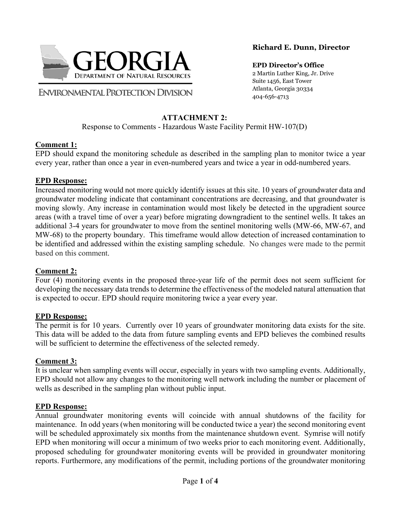

**ENVIRONMENTAL PROTECTION DIVISION** 

### **Richard E. Dunn, Director**

**EPD Director's Office** 2 Martin Luther King, Jr. Drive Suite 1456, East Tower Atlanta, Georgia 30334 404-656-4713

# **ATTACHMENT 2:**

Response to Comments - Hazardous Waste Facility Permit HW-107(D)

### **Comment 1:**

EPD should expand the monitoring schedule as described in the sampling plan to monitor twice a year every year, rather than once a year in even-numbered years and twice a year in odd-numbered years.

### **EPD Response:**

Increased monitoring would not more quickly identify issues at this site. 10 years of groundwater data and groundwater modeling indicate that contaminant concentrations are decreasing, and that groundwater is moving slowly. Any increase in contamination would most likely be detected in the upgradient source areas (with a travel time of over a year) before migrating downgradient to the sentinel wells. It takes an additional 3-4 years for groundwater to move from the sentinel monitoring wells (MW-66, MW-67, and MW-68) to the property boundary. This timeframe would allow detection of increased contamination to be identified and addressed within the existing sampling schedule. No changes were made to the permit based on this comment.

### **Comment 2:**

Four (4) monitoring events in the proposed three-year life of the permit does not seem sufficient for developing the necessary data trends to determine the effectiveness of the modeled natural attenuation that is expected to occur. EPD should require monitoring twice a year every year.

### **EPD Response:**

The permit is for 10 years. Currently over 10 years of groundwater monitoring data exists for the site. This data will be added to the data from future sampling events and EPD believes the combined results will be sufficient to determine the effectiveness of the selected remedy.

### **Comment 3:**

It is unclear when sampling events will occur, especially in years with two sampling events. Additionally, EPD should not allow any changes to the monitoring well network including the number or placement of wells as described in the sampling plan without public input.

### **EPD Response:**

Annual groundwater monitoring events will coincide with annual shutdowns of the facility for maintenance. In odd years (when monitoring will be conducted twice a year) the second monitoring event will be scheduled approximately six months from the maintenance shutdown event. Symrise will notify EPD when monitoring will occur a minimum of two weeks prior to each monitoring event. Additionally, proposed scheduling for groundwater monitoring events will be provided in groundwater monitoring reports. Furthermore, any modifications of the permit, including portions of the groundwater monitoring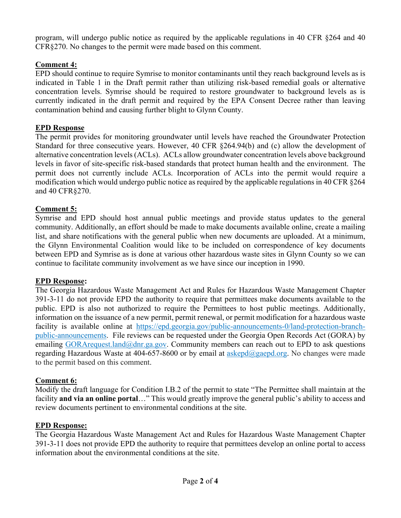program, will undergo public notice as required by the applicable regulations in 40 CFR §264 and 40 CFR§270. No changes to the permit were made based on this comment.

## **Comment 4:**

EPD should continue to require Symrise to monitor contaminants until they reach background levels as is indicated in Table 1 in the Draft permit rather than utilizing risk-based remedial goals or alternative concentration levels. Symrise should be required to restore groundwater to background levels as is currently indicated in the draft permit and required by the EPA Consent Decree rather than leaving contamination behind and causing further blight to Glynn County.

### **EPD Response**

The permit provides for monitoring groundwater until levels have reached the Groundwater Protection Standard for three consecutive years. However, 40 CFR §264.94(b) and (c) allow the development of alternative concentration levels (ACLs). ACLs allow groundwater concentration levels above background levels in favor of site-specific risk-based standards that protect human health and the environment. The permit does not currently include ACLs. Incorporation of ACLs into the permit would require a modification which would undergo public notice as required by the applicable regulations in 40 CFR §264 and 40 CFR§270.

### **Comment 5:**

Symrise and EPD should host annual public meetings and provide status updates to the general community. Additionally, an effort should be made to make documents available online, create a mailing list, and share notifications with the general public when new documents are uploaded. At a minimum, the Glynn Environmental Coalition would like to be included on correspondence of key documents between EPD and Symrise as is done at various other hazardous waste sites in Glynn County so we can continue to facilitate community involvement as we have since our inception in 1990.

#### **EPD Response:**

The Georgia Hazardous Waste Management Act and Rules for Hazardous Waste Management Chapter 391-3-11 do not provide EPD the authority to require that permittees make documents available to the public. EPD is also not authorized to require the Permittees to host public meetings. Additionally, information on the issuance of a new permit, permit renewal, or permit modification for a hazardous waste facility is available online at https://epd.georgia.gov/public-announcements-0/land-protection-branchpublic-announcements. File reviews can be requested under the Georgia Open Records Act (GORA) by emailing GORArequest.land@dnr.ga.gov. Community members can reach out to EPD to ask questions regarding Hazardous Waste at 404-657-8600 or by email at askepd@gaepd.org. No changes were made to the permit based on this comment.

#### **Comment 6:**

Modify the draft language for Condition I.B.2 of the permit to state "The Permittee shall maintain at the facility **and via an online portal**…" This would greatly improve the general public's ability to access and review documents pertinent to environmental conditions at the site.

#### **EPD Response:**

The Georgia Hazardous Waste Management Act and Rules for Hazardous Waste Management Chapter 391-3-11 does not provide EPD the authority to require that permittees develop an online portal to access information about the environmental conditions at the site.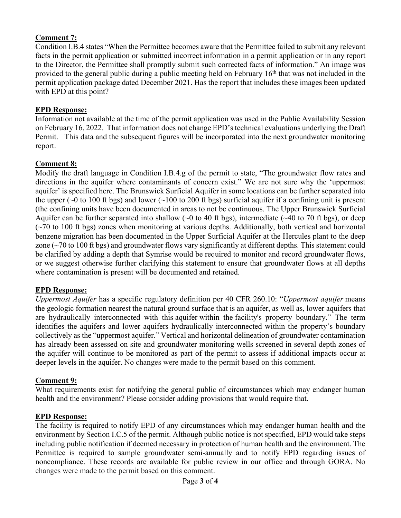### **Comment 7:**

Condition I.B.4 states "When the Permittee becomes aware that the Permittee failed to submit any relevant facts in the permit application or submitted incorrect information in a permit application or in any report to the Director, the Permittee shall promptly submit such corrected facts of information." An image was provided to the general public during a public meeting held on February  $16<sup>th</sup>$  that was not included in the permit application package dated December 2021. Has the report that includes these images been updated with EPD at this point?

### **EPD Response:**

Information not available at the time of the permit application was used in the Public Availability Session on February 16, 2022. That information does not change EPD's technical evaluations underlying the Draft Permit. This data and the subsequent figures will be incorporated into the next groundwater monitoring report.

### **Comment 8:**

Modify the draft language in Condition I.B.4.g of the permit to state, "The groundwater flow rates and directions in the aquifer where contaminants of concern exist." We are not sure why the 'uppermost aquifer' is specified here. The Brunswick Surficial Aquifer in some locations can be further separated into the upper ( $\sim$ 0 to 100 ft bgs) and lower ( $\sim$ 100 to 200 ft bgs) surficial aquifer if a confining unit is present (the confining units have been documented in areas to not be continuous. The Upper Brunswick Surficial Aquifer can be further separated into shallow ( $\sim$ 0 to 40 ft bgs), intermediate ( $\sim$ 40 to 70 ft bgs), or deep  $(\sim 70$  to 100 ft bgs) zones when monitoring at various depths. Additionally, both vertical and horizontal benzene migration has been documented in the Upper Surficial Aquifer at the Hercules plant to the deep zone (~70 to 100 ft bgs) and groundwater flows vary significantly at different depths. This statement could be clarified by adding a depth that Symrise would be required to monitor and record groundwater flows, or we suggest otherwise further clarifying this statement to ensure that groundwater flows at all depths where contamination is present will be documented and retained.

#### **EPD Response:**

*Uppermost Aquifer* has a specific regulatory definition per 40 CFR 260.10: "*Uppermost aquifer* means the geologic formation nearest the natural ground surface that is an aquifer, as well as, lower aquifers that are hydraulically interconnected with this aquifer within the facility's property boundary." The term identifies the aquifers and lower aquifers hydraulically interconnected within the property's boundary collectively as the "uppermost aquifer." Vertical and horizontal delineation of groundwater contamination has already been assessed on site and groundwater monitoring wells screened in several depth zones of the aquifer will continue to be monitored as part of the permit to assess if additional impacts occur at deeper levels in the aquifer. No changes were made to the permit based on this comment.

#### **Comment 9:**

What requirements exist for notifying the general public of circumstances which may endanger human health and the environment? Please consider adding provisions that would require that.

#### **EPD Response:**

The facility is required to notify EPD of any circumstances which may endanger human health and the environment by Section I.C.5 of the permit. Although public notice is not specified, EPD would take steps including public notification if deemed necessary in protection of human health and the environment. The Permittee is required to sample groundwater semi-annually and to notify EPD regarding issues of noncompliance. These records are available for public review in our office and through GORA. No changes were made to the permit based on this comment.